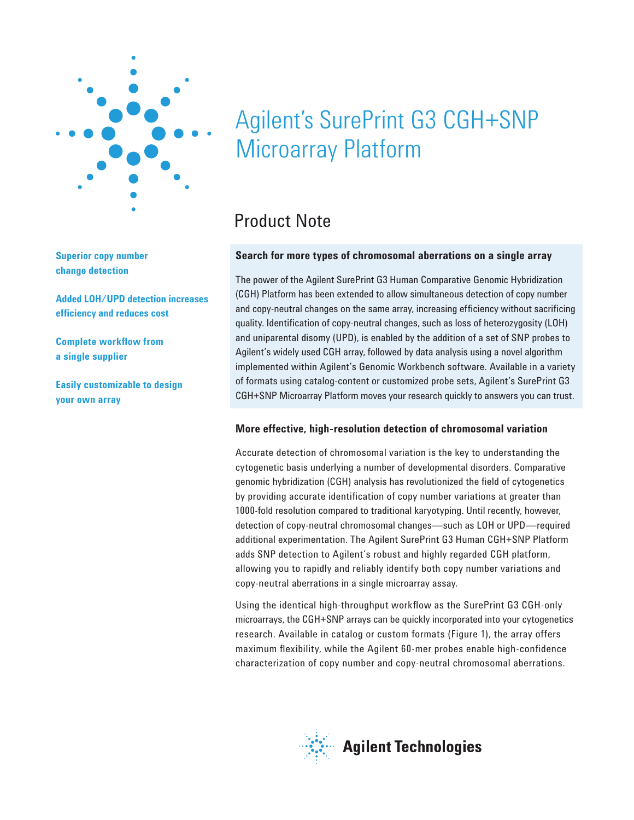

**Superior copy number change detection**

**Added LOH/UPD detection increases effi ciency and reduces cost**

**Complete workflow from a single supplier**

**Easily customizable to design your own array**

# Agilent's SurePrint G3 CGH+SNP<br>Microarray Platform Microarray Platform

## Product Note

#### **Search for more types of chromosomal aberrations on a single array**

The power of the Agilent SurePrint G3 Human Comparative Genomic Hybridization (CGH) Platform has been extended to allow simultaneous detection of copy number and copy-neutral changes on the same array, increasing efficiency without sacrificing quality. Identification of copy-neutral changes, such as loss of heterozygosity (LOH) and uniparental disomy (UPD), is enabled by the addition of a set of SNP probes to Agilent's widely used CGH array, followed by data analysis using a novel algorithm implemented within Agilent's Genomic Workbench software. Available in a variety of formats using catalog-content or customized probe sets, Agilent's SurePrint G3 CGH+SNP Microarray Platform moves your research quickly to answers you can trust.

#### **More effective, high-resolution detection of chromosomal variation**

Accurate detection of chromosomal variation is the key to understanding the cytogenetic basis underlying a number of developmental disorders. Comparative genomic hybridization (CGH) analysis has revolutionized the field of cytogenetics by providing accurate identification of copy number variations at greater than 1000-fold resolution compared to traditional karyotyping. Until recently, however, detection of copy-neutral chromosomal changes—such as LOH or UPD—required additional experimentation. The Agilent SurePrint G3 Human CGH+SNP Platform adds SNP detection to Agilent's robust and highly regarded CGH platform, allowing you to rapidly and reliably identify both copy number variations and copy-neutral aberrations in a single microarray assay.

Using the identical high-throughput workflow as the SurePrint G3 CGH-only microarrays, the CGH+SNP arrays can be quickly incorporated into your cytogenetics research. Available in catalog or custom formats (Figure 1), the array offers maximum flexibility, while the Agilent 60-mer probes enable high-confidence characterization of copy number and copy-neutral chromosomal aberrations.

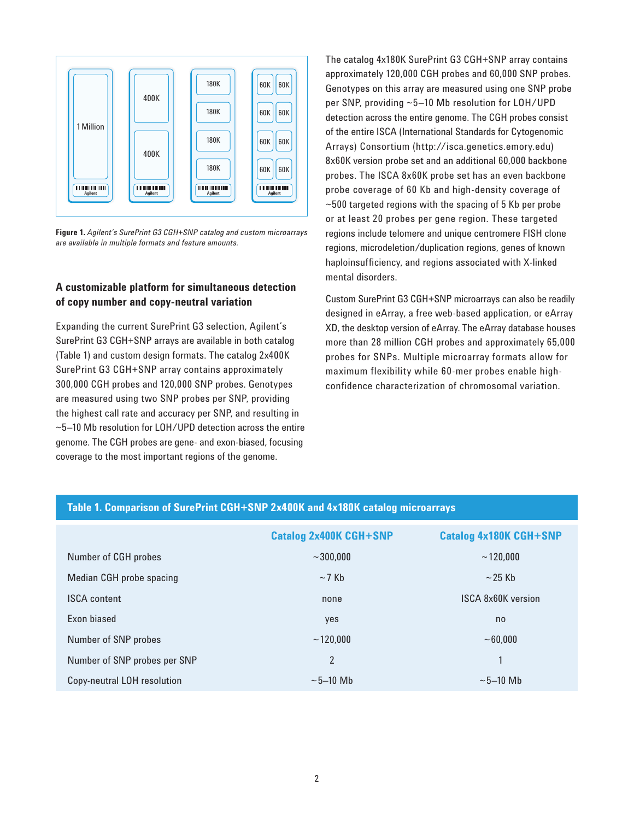

**Figure 1.** *Agilent's SurePrint G3 CGH+SNP catalog and custom microarrays are available in multiple formats and feature amounts.* 

#### **A customizable platform for simultaneous detection of copy number and copy-neutral variation**

Expanding the current SurePrint G3 selection, Agilent's SurePrint G3 CGH+SNP arrays are available in both catalog (Table 1) and custom design formats. The catalog 2x400K SurePrint G3 CGH+SNP array contains approximately 300,000 CGH probes and 120,000 SNP probes. Genotypes are measured using two SNP probes per SNP, providing the highest call rate and accuracy per SNP, and resulting in ~5–10 Mb resolution for LOH/UPD detection across the entire genome. The CGH probes are gene- and exon-biased, focusing coverage to the most important regions of the genome.

The catalog 4x180K SurePrint G3 CGH+SNP array contains approximately 120,000 CGH probes and 60,000 SNP probes. Genotypes on this array are measured using one SNP probe per SNP, providing ~5–10 Mb resolution for LOH/UPD detection across the entire genome. The CGH probes consist of the entire ISCA (International Standards for Cytogenomic Arrays) Consortium (http://isca.genetics.emory.edu) 8x60K version probe set and an additional 60,000 backbone probes. The ISCA 8x60K probe set has an even backbone probe coverage of 60 Kb and high-density coverage of  $\sim$ 500 targeted regions with the spacing of 5 Kb per probe or at least 20 probes per gene region. These targeted regions include telomere and unique centromere FISH clone regions, microdeletion/duplication regions, genes of known haploinsufficiency, and regions associated with X-linked mental disorders.

Custom SurePrint G3 CGH+SNP microarrays can also be readily designed in eArray, a free web-based application, or eArray XD, the desktop version of eArray. The eArray database houses more than 28 million CGH probes and approximately 65,000 probes for SNPs. Multiple microarray formats allow for maximum flexibility while 60-mer probes enable highconfidence characterization of chromosomal variation.

|                                 | <b>Catalog 2x400K CGH+SNP</b> | <b>Catalog 4x180K CGH+SNP</b> |
|---------------------------------|-------------------------------|-------------------------------|
| Number of CGH probes            | $~1$ - 300.000                | ~120.000                      |
| <b>Median CGH probe spacing</b> | $\sim$ 7 Kb                   | $\sim$ 25 Kb                  |
| <b>ISCA content</b>             | none                          | <b>ISCA 8x60K version</b>     |
| Exon biased                     | yes                           | n <sub>0</sub>                |
| Number of SNP probes            | ~120.000                      | ~10000                        |
| Number of SNP probes per SNP    | $\overline{2}$                | $\mathbf{1}$                  |
| Copy-neutral LOH resolution     | $\sim$ 5–10 Mb                | $\sim$ 5-10 Mb                |

#### **Table 1. Comparison of SurePrint CGH+SNP 2x400K and 4x180K catalog microarrays**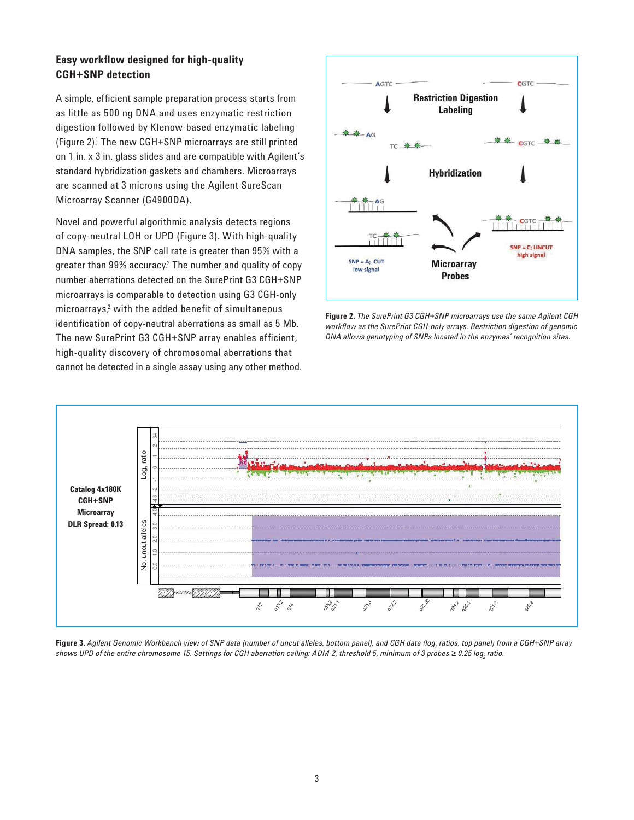#### **Easy workflow designed for high-quality CGH+SNP detection**

A simple, efficient sample preparation process starts from as little as 500 ng DNA and uses enzymatic restriction digestion followed by Klenow-based enzymatic labeling (Figure 2).<sup>1</sup> The new CGH+SNP microarrays are still printed on 1 in. x 3 in. glass slides and are compatible with Agilent's standard hybridization gaskets and chambers. Microarrays are scanned at 3 microns using the Agilent SureScan Microarray Scanner (G4900DA).

Novel and powerful algorithmic analysis detects regions of copy-neutral LOH or UPD (Figure 3). With high-quality DNA samples, the SNP call rate is greater than 95% with a greater than 99% accuracy.<sup>2</sup> The number and quality of copy number aberrations detected on the SurePrint G3 CGH+SNP microarrays is comparable to detection using G3 CGH-only microarrays,<sup>2</sup> with the added benefit of simultaneous identification of copy-neutral aberrations as small as 5 Mb. The new SurePrint G3 CGH+SNP array enables efficient, high-quality discovery of chromosomal aberrations that cannot be detected in a single assay using any other method.



**Figure 2.** *The SurePrint G3 CGH+SNP microarrays use the same Agilent CGH workfl ow as the SurePrint CGH-only arrays. Restriction digestion of genomic DNA allows genotyping of SNPs located in the enzymes' recognition sites.*



**Figure 3.** Agilent Genomic Workbench view of SNP data (number of uncut alleles, bottom panel), and CGH data (log<sub>2</sub> ratios, top panel) from a CGH+SNP array shows UPD of the entire chromosome 15. Settings for CGH aberration calling: ADM-2, threshold 5, minimum of 3 probes ≥ 0.25 log<sub>2</sub> ratio.